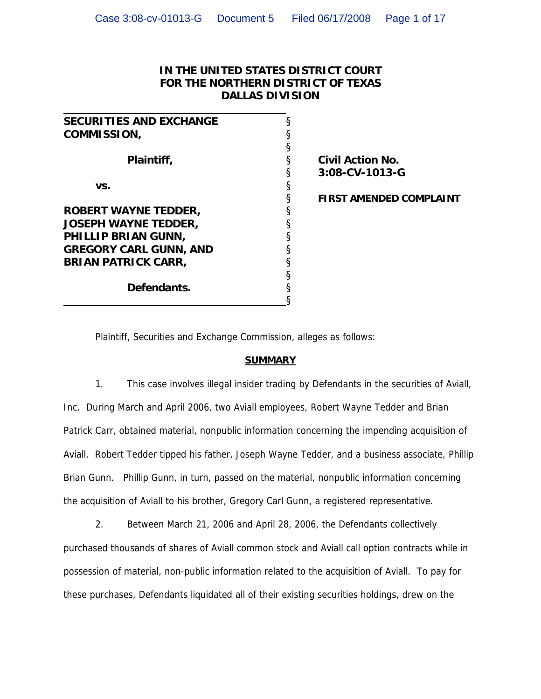# **IN THE UNITED STATES DISTRICT COURT FOR THE NORTHERN DISTRICT OF TEXAS DALLAS DIVISION**

| <b>SECURITIES AND EXCHANGE</b> |   |                                |
|--------------------------------|---|--------------------------------|
| <b>COMMISSION,</b>             |   |                                |
|                                | § |                                |
| Plaintiff,                     | § | <b>Civil Action No.</b>        |
|                                | § | 3:08-CV-1013-G                 |
| VS.                            | § |                                |
|                                | § | <b>FIRST AMENDED COMPLAINT</b> |
| <b>ROBERT WAYNE TEDDER,</b>    | § |                                |
| <b>JOSEPH WAYNE TEDDER,</b>    | § |                                |
| PHILLIP BRIAN GUNN,            | § |                                |
| <b>GREGORY CARL GUNN, AND</b>  |   |                                |
| <b>BRIAN PATRICK CARR,</b>     | § |                                |
|                                |   |                                |
| Defendants.                    |   |                                |
|                                |   |                                |

Plaintiff, Securities and Exchange Commission, alleges as follows:

#### **SUMMARY**

1. This case involves illegal insider trading by Defendants in the securities of Aviall, Inc. During March and April 2006, two Aviall employees, Robert Wayne Tedder and Brian Patrick Carr, obtained material, nonpublic information concerning the impending acquisition of Aviall. Robert Tedder tipped his father, Joseph Wayne Tedder, and a business associate, Phillip Brian Gunn. Phillip Gunn, in turn, passed on the material, nonpublic information concerning the acquisition of Aviall to his brother, Gregory Carl Gunn, a registered representative.

2. Between March 21, 2006 and April 28, 2006, the Defendants collectively purchased thousands of shares of Aviall common stock and Aviall call option contracts while in possession of material, non-public information related to the acquisition of Aviall. To pay for these purchases, Defendants liquidated all of their existing securities holdings, drew on the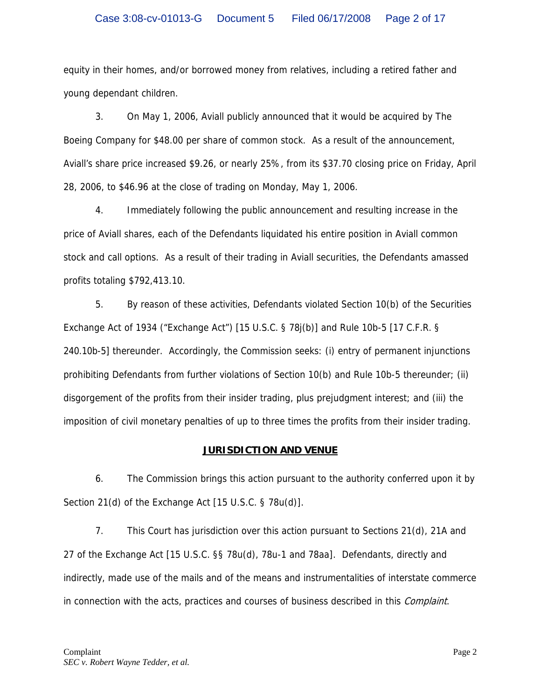equity in their homes, and/or borrowed money from relatives, including a retired father and young dependant children.

3. On May 1, 2006, Aviall publicly announced that it would be acquired by The Boeing Company for \$48.00 per share of common stock. As a result of the announcement, Aviall's share price increased \$9.26, or nearly 25%, from its \$37.70 closing price on Friday, April 28, 2006, to \$46.96 at the close of trading on Monday, May 1, 2006.

4. Immediately following the public announcement and resulting increase in the price of Aviall shares, each of the Defendants liquidated his entire position in Aviall common stock and call options. As a result of their trading in Aviall securities, the Defendants amassed profits totaling \$792,413.10.

5. By reason of these activities, Defendants violated Section 10(b) of the Securities Exchange Act of 1934 ("Exchange Act") [15 U.S.C. § 78j(b)] and Rule 10b-5 [17 C.F.R. § 240.10b-5] thereunder. Accordingly, the Commission seeks: (i) entry of permanent injunctions prohibiting Defendants from further violations of Section 10(b) and Rule 10b-5 thereunder; (ii) disgorgement of the profits from their insider trading, plus prejudgment interest; and (iii) the imposition of civil monetary penalties of up to three times the profits from their insider trading.

## **JURISDICTION AND VENUE**

6. The Commission brings this action pursuant to the authority conferred upon it by Section 21(d) of the Exchange Act [15 U.S.C. § 78u(d)].

7. This Court has jurisdiction over this action pursuant to Sections 21(d), 21A and 27 of the Exchange Act [15 U.S.C. §§ 78u(d), 78u-1 and 78aa]. Defendants, directly and indirectly, made use of the mails and of the means and instrumentalities of interstate commerce in connection with the acts, practices and courses of business described in this *Complaint*.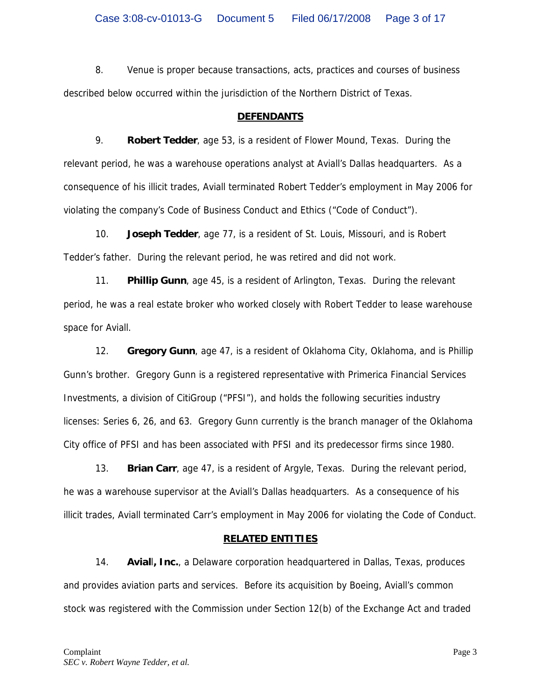8. Venue is proper because transactions, acts, practices and courses of business described below occurred within the jurisdiction of the Northern District of Texas.

#### **DEFENDANTS**

9. **Robert Tedder**, age 53, is a resident of Flower Mound, Texas. During the relevant period, he was a warehouse operations analyst at Aviall's Dallas headquarters. As a consequence of his illicit trades, Aviall terminated Robert Tedder's employment in May 2006 for violating the company's Code of Business Conduct and Ethics ("Code of Conduct").

10. **Joseph Tedder**, age 77, is a resident of St. Louis, Missouri, and is Robert Tedder's father. During the relevant period, he was retired and did not work.

11. **Phillip Gunn**, age 45, is a resident of Arlington, Texas. During the relevant period, he was a real estate broker who worked closely with Robert Tedder to lease warehouse space for Aviall.

12. **Gregory Gunn**, age 47, is a resident of Oklahoma City, Oklahoma, and is Phillip Gunn's brother. Gregory Gunn is a registered representative with Primerica Financial Services Investments, a division of CitiGroup ("PFSI"), and holds the following securities industry licenses: Series 6, 26, and 63. Gregory Gunn currently is the branch manager of the Oklahoma City office of PFSI and has been associated with PFSI and its predecessor firms since 1980.

13. **Brian Carr**, age 47, is a resident of Argyle, Texas. During the relevant period, he was a warehouse supervisor at the Aviall's Dallas headquarters. As a consequence of his illicit trades, Aviall terminated Carr's employment in May 2006 for violating the Code of Conduct.

## **RELATED ENTITIES**

14. **Avial**l**, Inc.**, a Delaware corporation headquartered in Dallas, Texas, produces and provides aviation parts and services. Before its acquisition by Boeing, Aviall's common stock was registered with the Commission under Section 12(b) of the Exchange Act and traded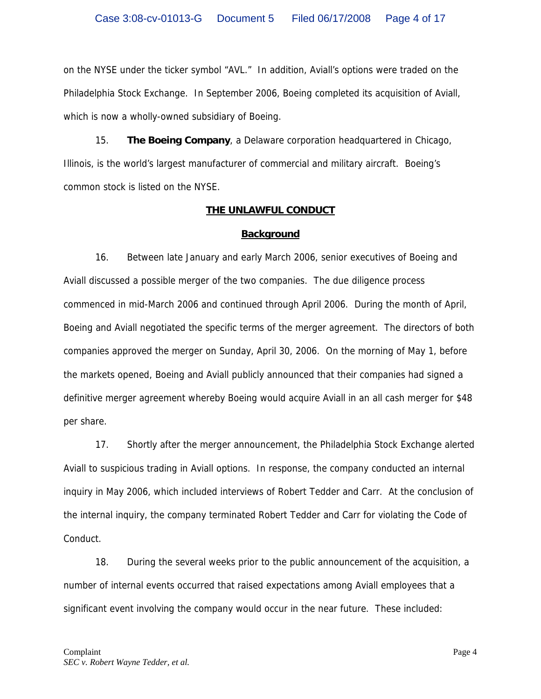on the NYSE under the ticker symbol "AVL." In addition, Aviall's options were traded on the Philadelphia Stock Exchange. In September 2006, Boeing completed its acquisition of Aviall, which is now a wholly-owned subsidiary of Boeing.

15. **The Boeing Company**, a Delaware corporation headquartered in Chicago, Illinois, is the world's largest manufacturer of commercial and military aircraft. Boeing's common stock is listed on the NYSE.

## **THE UNLAWFUL CONDUCT**

## **Background**

16. Between late January and early March 2006, senior executives of Boeing and Aviall discussed a possible merger of the two companies. The due diligence process commenced in mid-March 2006 and continued through April 2006. During the month of April, Boeing and Aviall negotiated the specific terms of the merger agreement. The directors of both companies approved the merger on Sunday, April 30, 2006. On the morning of May 1, before the markets opened, Boeing and Aviall publicly announced that their companies had signed a definitive merger agreement whereby Boeing would acquire Aviall in an all cash merger for \$48 per share.

17. Shortly after the merger announcement, the Philadelphia Stock Exchange alerted Aviall to suspicious trading in Aviall options. In response, the company conducted an internal inquiry in May 2006, which included interviews of Robert Tedder and Carr. At the conclusion of the internal inquiry, the company terminated Robert Tedder and Carr for violating the Code of Conduct.

18. During the several weeks prior to the public announcement of the acquisition, a number of internal events occurred that raised expectations among Aviall employees that a significant event involving the company would occur in the near future. These included: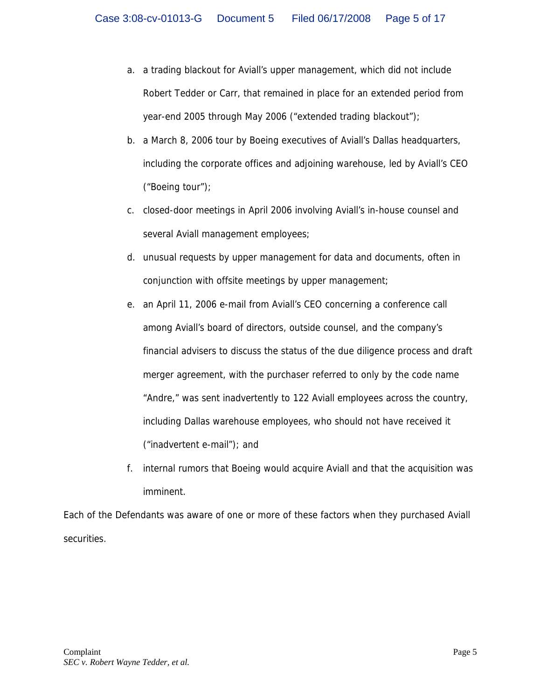- a. a trading blackout for Aviall's upper management, which did not include Robert Tedder or Carr, that remained in place for an extended period from year-end 2005 through May 2006 ("extended trading blackout");
- b. a March 8, 2006 tour by Boeing executives of Aviall's Dallas headquarters, including the corporate offices and adjoining warehouse, led by Aviall's CEO ("Boeing tour");
- c. closed-door meetings in April 2006 involving Aviall's in-house counsel and several Aviall management employees;
- d. unusual requests by upper management for data and documents, often in conjunction with offsite meetings by upper management;
- e. an April 11, 2006 e-mail from Aviall's CEO concerning a conference call among Aviall's board of directors, outside counsel, and the company's financial advisers to discuss the status of the due diligence process and draft merger agreement, with the purchaser referred to only by the code name "Andre," was sent inadvertently to 122 Aviall employees across the country, including Dallas warehouse employees, who should not have received it ("inadvertent e-mail"); and
- f. internal rumors that Boeing would acquire Aviall and that the acquisition was imminent.

Each of the Defendants was aware of one or more of these factors when they purchased Aviall securities.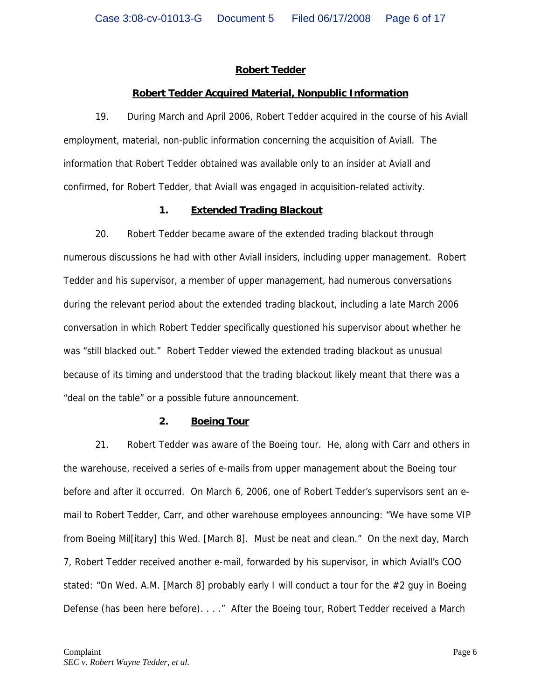## **Robert Tedder**

## **Robert Tedder Acquired Material, Nonpublic Information**

19. During March and April 2006, Robert Tedder acquired in the course of his Aviall employment, material, non-public information concerning the acquisition of Aviall. The information that Robert Tedder obtained was available only to an insider at Aviall and confirmed, for Robert Tedder, that Aviall was engaged in acquisition-related activity.

## **1. Extended Trading Blackout**

20. Robert Tedder became aware of the extended trading blackout through numerous discussions he had with other Aviall insiders, including upper management. Robert Tedder and his supervisor, a member of upper management, had numerous conversations during the relevant period about the extended trading blackout, including a late March 2006 conversation in which Robert Tedder specifically questioned his supervisor about whether he was "still blacked out." Robert Tedder viewed the extended trading blackout as unusual because of its timing and understood that the trading blackout likely meant that there was a "deal on the table" or a possible future announcement.

## **2. Boeing Tour**

21. Robert Tedder was aware of the Boeing tour. He, along with Carr and others in the warehouse, received a series of e-mails from upper management about the Boeing tour before and after it occurred. On March 6, 2006, one of Robert Tedder's supervisors sent an email to Robert Tedder, Carr, and other warehouse employees announcing: "We have some VIP from Boeing Mil[itary] this Wed. [March 8]. Must be neat and clean." On the next day, March 7, Robert Tedder received another e-mail, forwarded by his supervisor, in which Aviall's COO stated: "On Wed. A.M. [March 8] probably early I will conduct a tour for the #2 guy in Boeing Defense (has been here before). . . ." After the Boeing tour, Robert Tedder received a March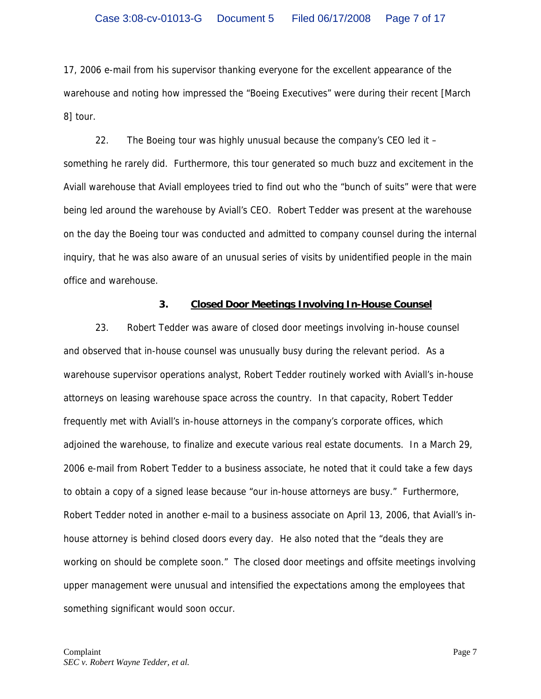17, 2006 e-mail from his supervisor thanking everyone for the excellent appearance of the warehouse and noting how impressed the "Boeing Executives" were during their recent [March 8] tour.

22. The Boeing tour was highly unusual because the company's CEO led it – something he rarely did. Furthermore, this tour generated so much buzz and excitement in the Aviall warehouse that Aviall employees tried to find out who the "bunch of suits" were that were being led around the warehouse by Aviall's CEO. Robert Tedder was present at the warehouse on the day the Boeing tour was conducted and admitted to company counsel during the internal inquiry, that he was also aware of an unusual series of visits by unidentified people in the main office and warehouse.

#### **3. Closed Door Meetings Involving In-House Counsel**

23. Robert Tedder was aware of closed door meetings involving in-house counsel and observed that in-house counsel was unusually busy during the relevant period. As a warehouse supervisor operations analyst, Robert Tedder routinely worked with Aviall's in-house attorneys on leasing warehouse space across the country. In that capacity, Robert Tedder frequently met with Aviall's in-house attorneys in the company's corporate offices, which adjoined the warehouse, to finalize and execute various real estate documents. In a March 29, 2006 e-mail from Robert Tedder to a business associate, he noted that it could take a few days to obtain a copy of a signed lease because "our in-house attorneys are busy." Furthermore, Robert Tedder noted in another e-mail to a business associate on April 13, 2006, that Aviall's inhouse attorney is behind closed doors every day. He also noted that the "deals they are working on should be complete soon." The closed door meetings and offsite meetings involving upper management were unusual and intensified the expectations among the employees that something significant would soon occur.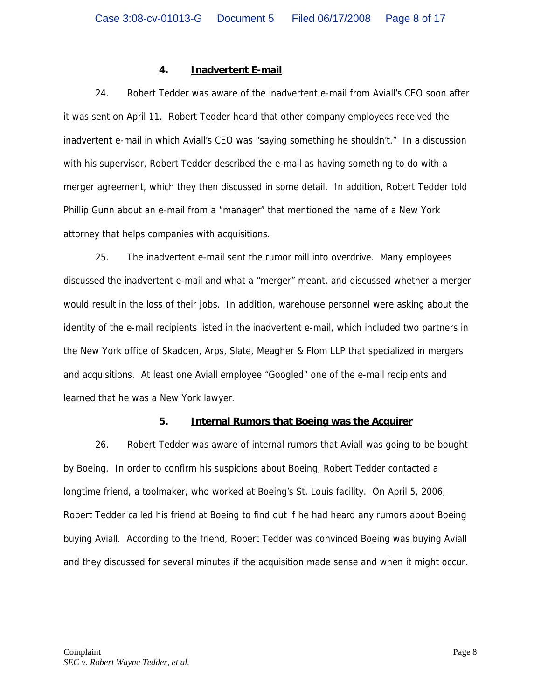#### **4. Inadvertent E-mail**

24. Robert Tedder was aware of the inadvertent e-mail from Aviall's CEO soon after it was sent on April 11. Robert Tedder heard that other company employees received the inadvertent e-mail in which Aviall's CEO was "saying something he shouldn't." In a discussion with his supervisor, Robert Tedder described the e-mail as having something to do with a merger agreement, which they then discussed in some detail. In addition, Robert Tedder told Phillip Gunn about an e-mail from a "manager" that mentioned the name of a New York attorney that helps companies with acquisitions.

25. The inadvertent e-mail sent the rumor mill into overdrive. Many employees discussed the inadvertent e-mail and what a "merger" meant, and discussed whether a merger would result in the loss of their jobs. In addition, warehouse personnel were asking about the identity of the e-mail recipients listed in the inadvertent e-mail, which included two partners in the New York office of Skadden, Arps, Slate, Meagher & Flom LLP that specialized in mergers and acquisitions. At least one Aviall employee "Googled" one of the e-mail recipients and learned that he was a New York lawyer.

## **5. Internal Rumors that Boeing was the Acquirer**

26. Robert Tedder was aware of internal rumors that Aviall was going to be bought by Boeing. In order to confirm his suspicions about Boeing, Robert Tedder contacted a longtime friend, a toolmaker, who worked at Boeing's St. Louis facility. On April 5, 2006, Robert Tedder called his friend at Boeing to find out if he had heard any rumors about Boeing buying Aviall. According to the friend, Robert Tedder was convinced Boeing was buying Aviall and they discussed for several minutes if the acquisition made sense and when it might occur.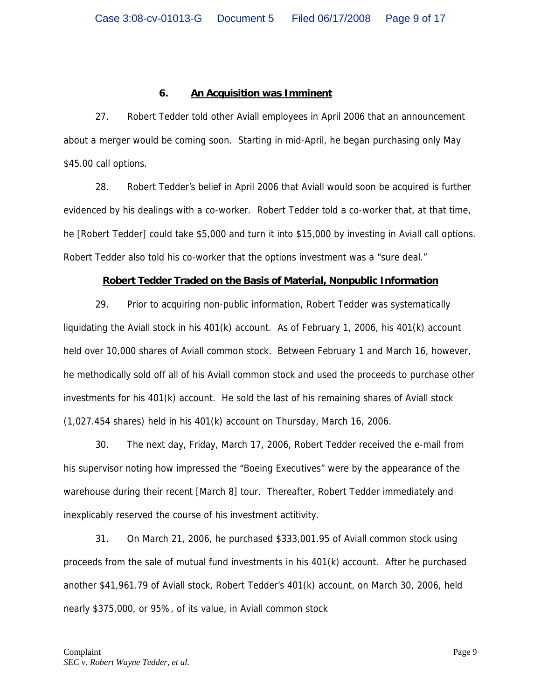## **6. An Acquisition was Imminent**

27. Robert Tedder told other Aviall employees in April 2006 that an announcement about a merger would be coming soon. Starting in mid-April, he began purchasing only May \$45.00 call options.

28. Robert Tedder's belief in April 2006 that Aviall would soon be acquired is further evidenced by his dealings with a co-worker. Robert Tedder told a co-worker that, at that time, he [Robert Tedder] could take \$5,000 and turn it into \$15,000 by investing in Aviall call options. Robert Tedder also told his co-worker that the options investment was a "sure deal."

#### **Robert Tedder Traded on the Basis of Material, Nonpublic Information**

29. Prior to acquiring non-public information, Robert Tedder was systematically liquidating the Aviall stock in his 401(k) account. As of February 1, 2006, his 401(k) account held over 10,000 shares of Aviall common stock. Between February 1 and March 16, however, he methodically sold off all of his Aviall common stock and used the proceeds to purchase other investments for his 401(k) account. He sold the last of his remaining shares of Aviall stock (1,027.454 shares) held in his 401(k) account on Thursday, March 16, 2006.

30. The next day, Friday, March 17, 2006, Robert Tedder received the e-mail from his supervisor noting how impressed the "Boeing Executives" were by the appearance of the warehouse during their recent [March 8] tour. Thereafter, Robert Tedder immediately and inexplicably reserved the course of his investment actitivity.

31. On March 21, 2006, he purchased \$333,001.95 of Aviall common stock using proceeds from the sale of mutual fund investments in his 401(k) account. After he purchased another \$41,961.79 of Aviall stock, Robert Tedder's 401(k) account, on March 30, 2006, held nearly \$375,000, or 95%, of its value, in Aviall common stock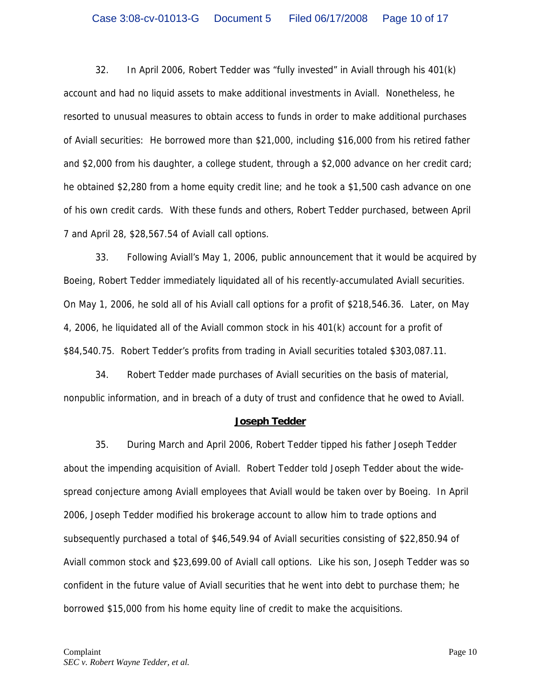32. In April 2006, Robert Tedder was "fully invested" in Aviall through his 401(k) account and had no liquid assets to make additional investments in Aviall. Nonetheless, he resorted to unusual measures to obtain access to funds in order to make additional purchases of Aviall securities: He borrowed more than \$21,000, including \$16,000 from his retired father and \$2,000 from his daughter, a college student, through a \$2,000 advance on her credit card; he obtained \$2,280 from a home equity credit line; and he took a \$1,500 cash advance on one of his own credit cards. With these funds and others, Robert Tedder purchased, between April 7 and April 28, \$28,567.54 of Aviall call options.

33. Following Aviall's May 1, 2006, public announcement that it would be acquired by Boeing, Robert Tedder immediately liquidated all of his recently-accumulated Aviall securities. On May 1, 2006, he sold all of his Aviall call options for a profit of \$218,546.36. Later, on May 4, 2006, he liquidated all of the Aviall common stock in his 401(k) account for a profit of \$84,540.75. Robert Tedder's profits from trading in Aviall securities totaled \$303,087.11.

34. Robert Tedder made purchases of Aviall securities on the basis of material, nonpublic information, and in breach of a duty of trust and confidence that he owed to Aviall.

#### **Joseph Tedder**

35. During March and April 2006, Robert Tedder tipped his father Joseph Tedder about the impending acquisition of Aviall. Robert Tedder told Joseph Tedder about the widespread conjecture among Aviall employees that Aviall would be taken over by Boeing. In April 2006, Joseph Tedder modified his brokerage account to allow him to trade options and subsequently purchased a total of \$46,549.94 of Aviall securities consisting of \$22,850.94 of Aviall common stock and \$23,699.00 of Aviall call options. Like his son, Joseph Tedder was so confident in the future value of Aviall securities that he went into debt to purchase them; he borrowed \$15,000 from his home equity line of credit to make the acquisitions.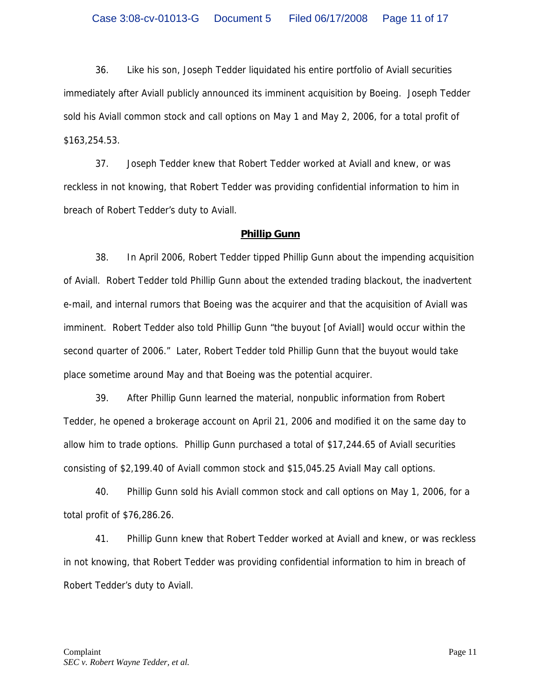36. Like his son, Joseph Tedder liquidated his entire portfolio of Aviall securities immediately after Aviall publicly announced its imminent acquisition by Boeing. Joseph Tedder sold his Aviall common stock and call options on May 1 and May 2, 2006, for a total profit of \$163,254.53.

37. Joseph Tedder knew that Robert Tedder worked at Aviall and knew, or was reckless in not knowing, that Robert Tedder was providing confidential information to him in breach of Robert Tedder's duty to Aviall.

#### **Phillip Gunn**

38. In April 2006, Robert Tedder tipped Phillip Gunn about the impending acquisition of Aviall. Robert Tedder told Phillip Gunn about the extended trading blackout, the inadvertent e-mail, and internal rumors that Boeing was the acquirer and that the acquisition of Aviall was imminent. Robert Tedder also told Phillip Gunn "the buyout [of Aviall] would occur within the second quarter of 2006." Later, Robert Tedder told Phillip Gunn that the buyout would take place sometime around May and that Boeing was the potential acquirer.

39. After Phillip Gunn learned the material, nonpublic information from Robert Tedder, he opened a brokerage account on April 21, 2006 and modified it on the same day to allow him to trade options. Phillip Gunn purchased a total of \$17,244.65 of Aviall securities consisting of \$2,199.40 of Aviall common stock and \$15,045.25 Aviall May call options.

40. Phillip Gunn sold his Aviall common stock and call options on May 1, 2006, for a total profit of \$76,286.26.

41. Phillip Gunn knew that Robert Tedder worked at Aviall and knew, or was reckless in not knowing, that Robert Tedder was providing confidential information to him in breach of Robert Tedder's duty to Aviall.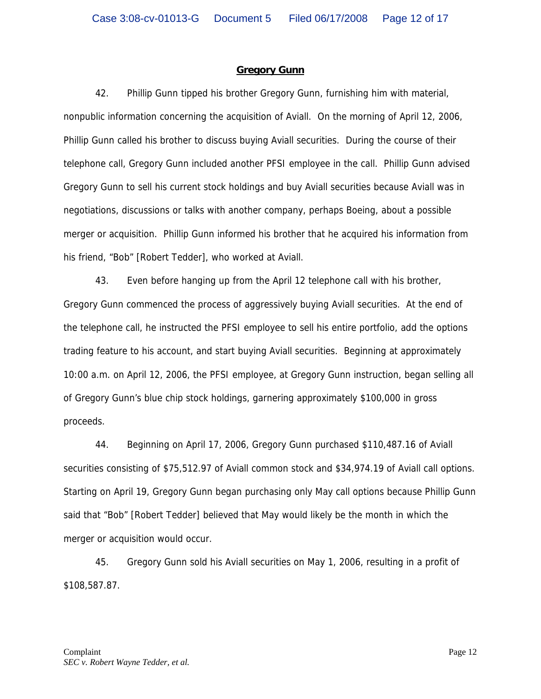#### **Gregory Gunn**

42. Phillip Gunn tipped his brother Gregory Gunn, furnishing him with material, nonpublic information concerning the acquisition of Aviall. On the morning of April 12, 2006, Phillip Gunn called his brother to discuss buying Aviall securities. During the course of their telephone call, Gregory Gunn included another PFSI employee in the call. Phillip Gunn advised Gregory Gunn to sell his current stock holdings and buy Aviall securities because Aviall was in negotiations, discussions or talks with another company, perhaps Boeing, about a possible merger or acquisition. Phillip Gunn informed his brother that he acquired his information from his friend, "Bob" [Robert Tedder], who worked at Aviall.

43. Even before hanging up from the April 12 telephone call with his brother, Gregory Gunn commenced the process of aggressively buying Aviall securities. At the end of the telephone call, he instructed the PFSI employee to sell his entire portfolio, add the options trading feature to his account, and start buying Aviall securities. Beginning at approximately 10:00 a.m. on April 12, 2006, the PFSI employee, at Gregory Gunn instruction, began selling all of Gregory Gunn's blue chip stock holdings, garnering approximately \$100,000 in gross proceeds.

44. Beginning on April 17, 2006, Gregory Gunn purchased \$110,487.16 of Aviall securities consisting of \$75,512.97 of Aviall common stock and \$34,974.19 of Aviall call options. Starting on April 19, Gregory Gunn began purchasing only May call options because Phillip Gunn said that "Bob" [Robert Tedder] believed that May would likely be the month in which the merger or acquisition would occur.

45. Gregory Gunn sold his Aviall securities on May 1, 2006, resulting in a profit of \$108,587.87.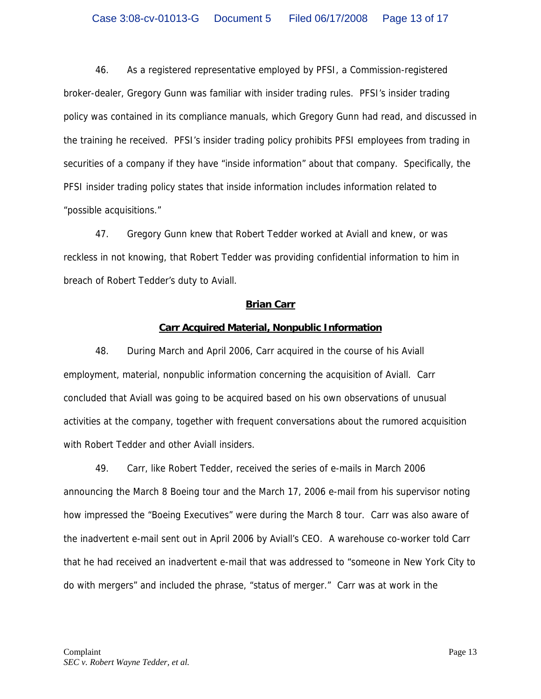46. As a registered representative employed by PFSI, a Commission-registered broker-dealer, Gregory Gunn was familiar with insider trading rules. PFSI's insider trading policy was contained in its compliance manuals, which Gregory Gunn had read, and discussed in the training he received. PFSI's insider trading policy prohibits PFSI employees from trading in securities of a company if they have "inside information" about that company. Specifically, the PFSI insider trading policy states that inside information includes information related to "possible acquisitions."

47. Gregory Gunn knew that Robert Tedder worked at Aviall and knew, or was reckless in not knowing, that Robert Tedder was providing confidential information to him in breach of Robert Tedder's duty to Aviall.

#### **Brian Carr**

#### **Carr Acquired Material, Nonpublic Information**

48. During March and April 2006, Carr acquired in the course of his Aviall employment, material, nonpublic information concerning the acquisition of Aviall. Carr concluded that Aviall was going to be acquired based on his own observations of unusual activities at the company, together with frequent conversations about the rumored acquisition with Robert Tedder and other Aviall insiders.

49. Carr, like Robert Tedder, received the series of e-mails in March 2006 announcing the March 8 Boeing tour and the March 17, 2006 e-mail from his supervisor noting how impressed the "Boeing Executives" were during the March 8 tour. Carr was also aware of the inadvertent e-mail sent out in April 2006 by Aviall's CEO. A warehouse co-worker told Carr that he had received an inadvertent e-mail that was addressed to "someone in New York City to do with mergers" and included the phrase, "status of merger." Carr was at work in the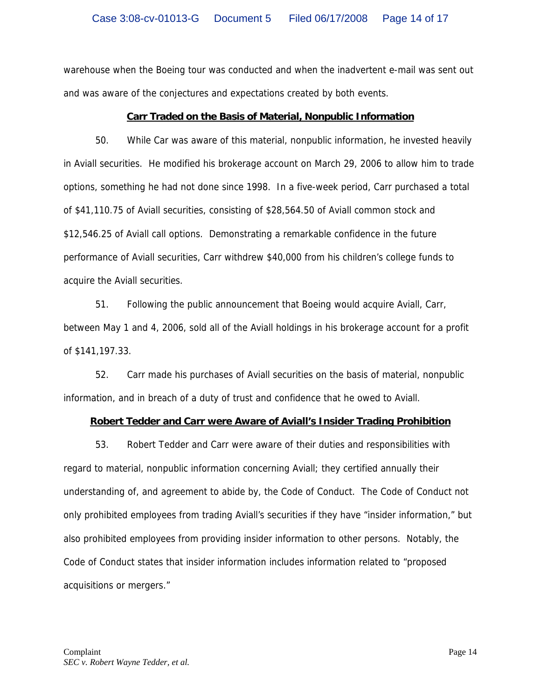warehouse when the Boeing tour was conducted and when the inadvertent e-mail was sent out and was aware of the conjectures and expectations created by both events.

#### **Carr Traded on the Basis of Material, Nonpublic Information**

50. While Car was aware of this material, nonpublic information, he invested heavily in Aviall securities. He modified his brokerage account on March 29, 2006 to allow him to trade options, something he had not done since 1998. In a five-week period, Carr purchased a total of \$41,110.75 of Aviall securities, consisting of \$28,564.50 of Aviall common stock and \$12,546.25 of Aviall call options. Demonstrating a remarkable confidence in the future performance of Aviall securities, Carr withdrew \$40,000 from his children's college funds to acquire the Aviall securities.

51. Following the public announcement that Boeing would acquire Aviall, Carr, between May 1 and 4, 2006, sold all of the Aviall holdings in his brokerage account for a profit of \$141,197.33.

52. Carr made his purchases of Aviall securities on the basis of material, nonpublic information, and in breach of a duty of trust and confidence that he owed to Aviall.

## **Robert Tedder and Carr were Aware of Aviall's Insider Trading Prohibition**

53. Robert Tedder and Carr were aware of their duties and responsibilities with regard to material, nonpublic information concerning Aviall; they certified annually their understanding of, and agreement to abide by, the Code of Conduct. The Code of Conduct not only prohibited employees from trading Aviall's securities if they have "insider information," but also prohibited employees from providing insider information to other persons. Notably, the Code of Conduct states that insider information includes information related to "proposed acquisitions or mergers."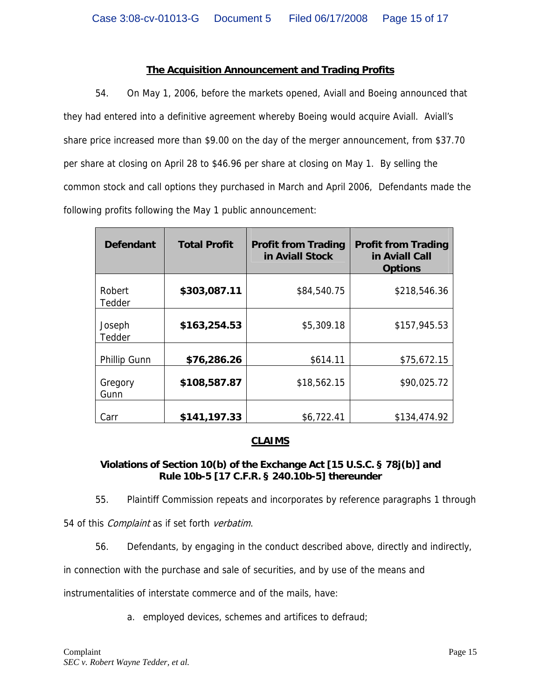# **The Acquisition Announcement and Trading Profits**

54. On May 1, 2006, before the markets opened, Aviall and Boeing announced that they had entered into a definitive agreement whereby Boeing would acquire Aviall. Aviall's share price increased more than \$9.00 on the day of the merger announcement, from \$37.70 per share at closing on April 28 to \$46.96 per share at closing on May 1. By selling the common stock and call options they purchased in March and April 2006, Defendants made the following profits following the May 1 public announcement:

| <b>Defendant</b> | <b>Total Profit</b> | <b>Profit from Trading</b><br>in Aviall Stock | <b>Profit from Trading</b><br>in Aviall Call<br><b>Options</b> |
|------------------|---------------------|-----------------------------------------------|----------------------------------------------------------------|
| Robert<br>Tedder | \$303,087.11        | \$84,540.75                                   | \$218,546.36                                                   |
| Joseph<br>Tedder | \$163,254.53        | \$5,309.18                                    | \$157,945.53                                                   |
| Phillip Gunn     | \$76,286.26         | \$614.11                                      | \$75,672.15                                                    |
| Gregory<br>Gunn  | \$108,587.87        | \$18,562.15                                   | \$90,025.72                                                    |
| Carr             | \$141,197.33        | \$6,722.41                                    | \$134,474.92                                                   |

# **CLAIMS**

# **Violations of Section 10(b) of the Exchange Act [15 U.S.C. § 78j(b)] and Rule 10b-5 [17 C.F.R. § 240.10b-5] thereunder**

55. Plaintiff Commission repeats and incorporates by reference paragraphs 1 through

54 of this *Complaint* as if set forth verbatim.

56. Defendants, by engaging in the conduct described above, directly and indirectly,

in connection with the purchase and sale of securities, and by use of the means and

instrumentalities of interstate commerce and of the mails, have:

a. employed devices, schemes and artifices to defraud;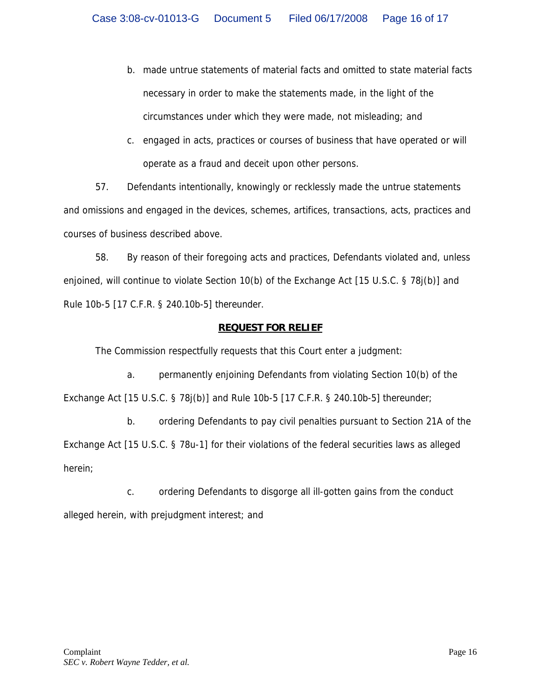- b. made untrue statements of material facts and omitted to state material facts necessary in order to make the statements made, in the light of the circumstances under which they were made, not misleading; and
- c. engaged in acts, practices or courses of business that have operated or will operate as a fraud and deceit upon other persons.

57. Defendants intentionally, knowingly or recklessly made the untrue statements and omissions and engaged in the devices, schemes, artifices, transactions, acts, practices and courses of business described above.

58. By reason of their foregoing acts and practices, Defendants violated and, unless enjoined, will continue to violate Section 10(b) of the Exchange Act [15 U.S.C. § 78j(b)] and Rule 10b-5 [17 C.F.R. § 240.10b-5] thereunder.

# **REQUEST FOR RELIEF**

The Commission respectfully requests that this Court enter a judgment:

a. permanently enjoining Defendants from violating Section 10(b) of the Exchange Act [15 U.S.C. § 78j(b)] and Rule 10b-5 [17 C.F.R. § 240.10b-5] thereunder;

b. ordering Defendants to pay civil penalties pursuant to Section 21A of the Exchange Act [15 U.S.C. § 78u-1] for their violations of the federal securities laws as alleged herein;

c. ordering Defendants to disgorge all ill-gotten gains from the conduct alleged herein, with prejudgment interest; and